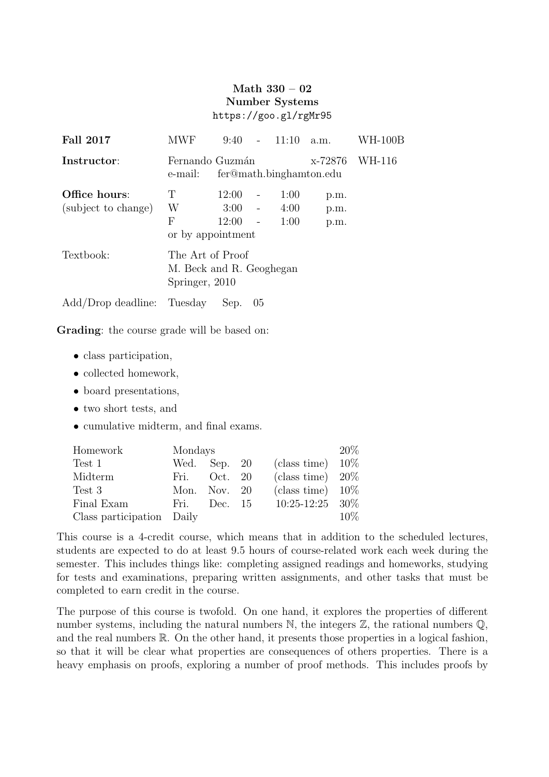## Math 330 – 02 Number Systems https://goo.gl/rgMr95

| <b>Fall 2017</b>                     | <b>MWF</b>                                                     | 9:40                           | $\sim$ 10 $\pm$          | 11:10                | a.m.                 | WH-100B |
|--------------------------------------|----------------------------------------------------------------|--------------------------------|--------------------------|----------------------|----------------------|---------|
| Instructor:                          | Fernando Guzmán<br>e-mail:                                     | WH-116                         |                          |                      |                      |         |
| Office hours:<br>(subject to change) | T<br>W<br>F<br>or by appointment                               | 12:00<br>$3:00 -$<br>$12:00 -$ | $\overline{\phantom{a}}$ | 1:00<br>4:00<br>1:00 | p.m.<br>p.m.<br>p.m. |         |
| Textbook:                            | The Art of Proof<br>M. Beck and R. Geoghegan<br>Springer, 2010 |                                |                          |                      |                      |         |
| Add/Drop deadline: Tuesday           |                                                                | Sep.                           | -05                      |                      |                      |         |

Grading: the course grade will be based on:

- class participation,
- collected homework,
- board presentations,
- two short tests, and
- cumulative midterm, and final exams.

| Homework                  | Mondays      |           |  |                     |        |  |
|---------------------------|--------------|-----------|--|---------------------|--------|--|
| Test 1                    | Wed.         | Sep. $20$ |  | (class time)        | $10\%$ |  |
| Midterm                   | Fri.         | Oct. 20   |  | (class time) $20\%$ |        |  |
| Test 3                    | Mon. Nov. 20 |           |  | (class time) $10\%$ |        |  |
| Final Exam                | Fri.         | Dec. 15   |  | $10:25-12:25$ 30\%  |        |  |
| Class participation Daily |              |           |  |                     | $10\%$ |  |

This course is a 4-credit course, which means that in addition to the scheduled lectures, students are expected to do at least 9.5 hours of course-related work each week during the semester. This includes things like: completing assigned readings and homeworks, studying for tests and examinations, preparing written assignments, and other tasks that must be completed to earn credit in the course.

The purpose of this course is twofold. On one hand, it explores the properties of different number systems, including the natural numbers  $\mathbb N$ , the integers  $\mathbb Z$ , the rational numbers  $\mathbb Q$ , and the real numbers  $\mathbb R$ . On the other hand, it presents those properties in a logical fashion, so that it will be clear what properties are consequences of others properties. There is a heavy emphasis on proofs, exploring a number of proof methods. This includes proofs by